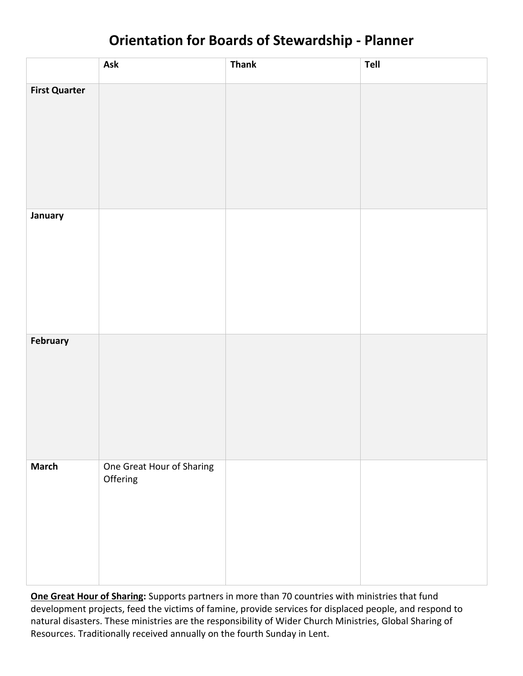# **Orientation for Boards of Stewardship - Planner**

|                      | Ask                                   | <b>Thank</b> | Tell |
|----------------------|---------------------------------------|--------------|------|
| <b>First Quarter</b> |                                       |              |      |
| January              |                                       |              |      |
| February             |                                       |              |      |
| <b>March</b>         | One Great Hour of Sharing<br>Offering |              |      |

**One Great [Hour of Sharing:](http://www.ucc.org/oghs/)** Supports partners in more than 70 countries with ministries that fund development projects, feed the victims of famine, provide services for displaced people, and respond to natural disasters. These ministries are the responsibility of Wider Church Ministries, Global Sharing of Resources. Traditionally received annually on the fourth Sunday in Lent.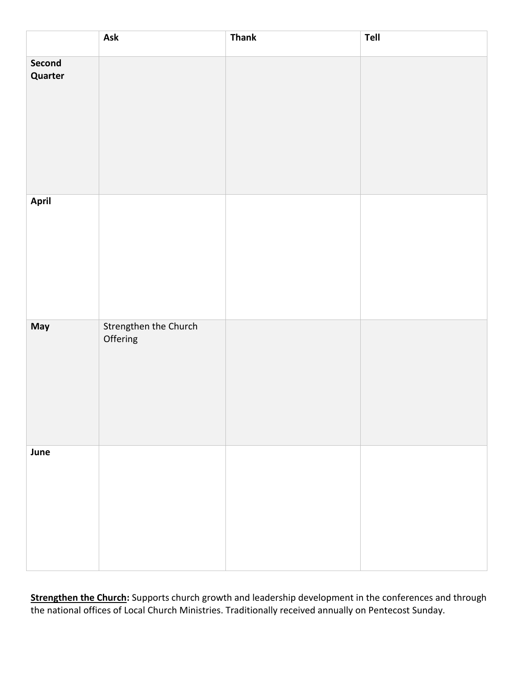|                   | Ask                               | <b>Thank</b> | Tell |
|-------------------|-----------------------------------|--------------|------|
| Second<br>Quarter |                                   |              |      |
| <b>April</b>      |                                   |              |      |
| May               | Strengthen the Church<br>Offering |              |      |
| June              |                                   |              |      |

**[Strengthen the Church:](http://www.ucc.org/stc/)** Supports church growth and leadership development in the conferences and through the national offices of Local Church Ministries. Traditionally received annually on Pentecost Sunday.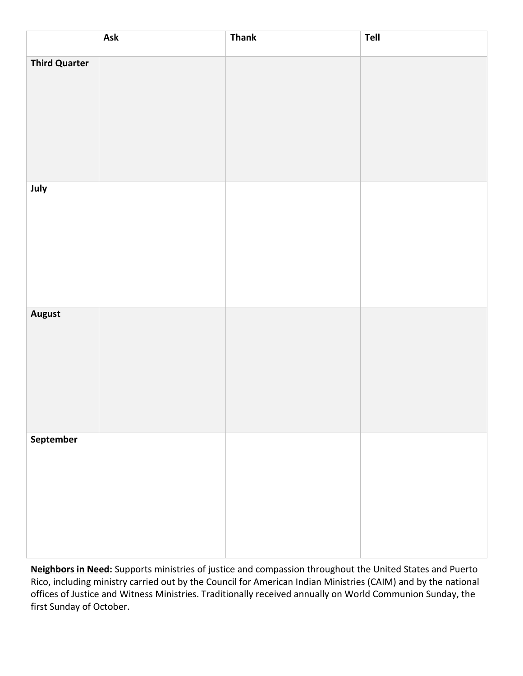|                      | Ask | <b>Thank</b> | Tell |
|----------------------|-----|--------------|------|
| <b>Third Quarter</b> |     |              |      |
|                      |     |              |      |
|                      |     |              |      |
|                      |     |              |      |
|                      |     |              |      |
| July                 |     |              |      |
|                      |     |              |      |
|                      |     |              |      |
|                      |     |              |      |
| <b>August</b>        |     |              |      |
|                      |     |              |      |
|                      |     |              |      |
|                      |     |              |      |
|                      |     |              |      |
| September            |     |              |      |
|                      |     |              |      |
|                      |     |              |      |
|                      |     |              |      |
|                      |     |              |      |

**[Neighbors in Need:](http://www.ucc.org/nin/)** Supports ministries of justice and compassion throughout the United States and Puerto Rico, including ministry carried out by the Council for American Indian Ministries (CAIM) and by the national offices of Justice and Witness Ministries. Traditionally received annually on World Communion Sunday, the first Sunday of October.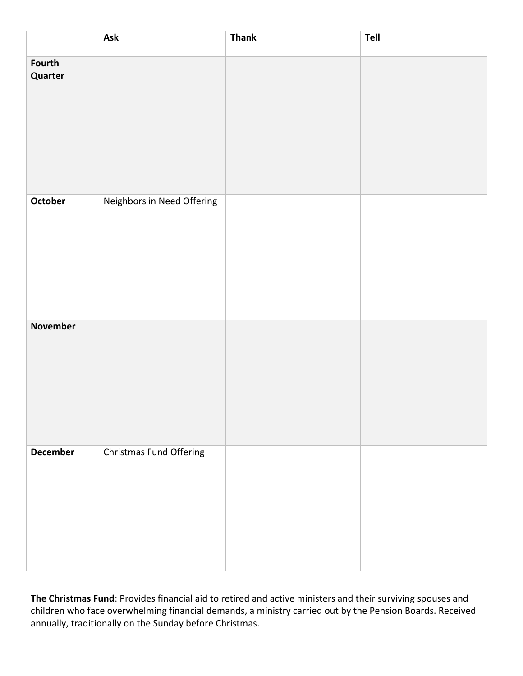|                   | Ask                        | <b>Thank</b> | Tell |
|-------------------|----------------------------|--------------|------|
| Fourth<br>Quarter |                            |              |      |
| October           | Neighbors in Need Offering |              |      |
| <b>November</b>   |                            |              |      |
| <b>December</b>   | Christmas Fund Offering    |              |      |

**[The Christmas Fund](http://www.magiproject.org/)**: Provides financial aid to retired and active ministers and their surviving spouses and children who face overwhelming financial demands, a ministry carried out by the Pension Boards. Received annually, traditionally on the Sunday before Christmas.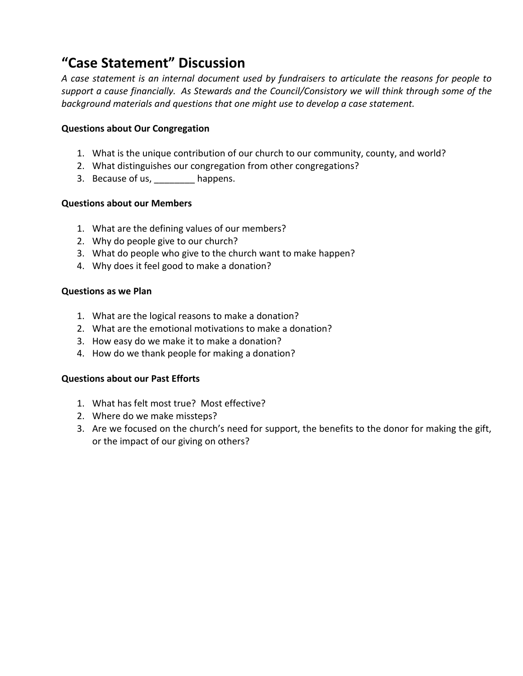## **"Case Statement" Discussion**

*A case statement is an internal document used by fundraisers to articulate the reasons for people to support a cause financially. As Stewards and the Council/Consistory we will think through some of the background materials and questions that one might use to develop a case statement.*

### **Questions about Our Congregation**

- 1. What is the unique contribution of our church to our community, county, and world?
- 2. What distinguishes our congregation from other congregations?
- 3. Because of us, happens.

### **Questions about our Members**

- 1. What are the defining values of our members?
- 2. Why do people give to our church?
- 3. What do people who give to the church want to make happen?
- 4. Why does it feel good to make a donation?

#### **Questions as we Plan**

- 1. What are the logical reasons to make a donation?
- 2. What are the emotional motivations to make a donation?
- 3. How easy do we make it to make a donation?
- 4. How do we thank people for making a donation?

### **Questions about our Past Efforts**

- 1. What has felt most true? Most effective?
- 2. Where do we make missteps?
- 3. Are we focused on the church's need for support, the benefits to the donor for making the gift, or the impact of our giving on others?